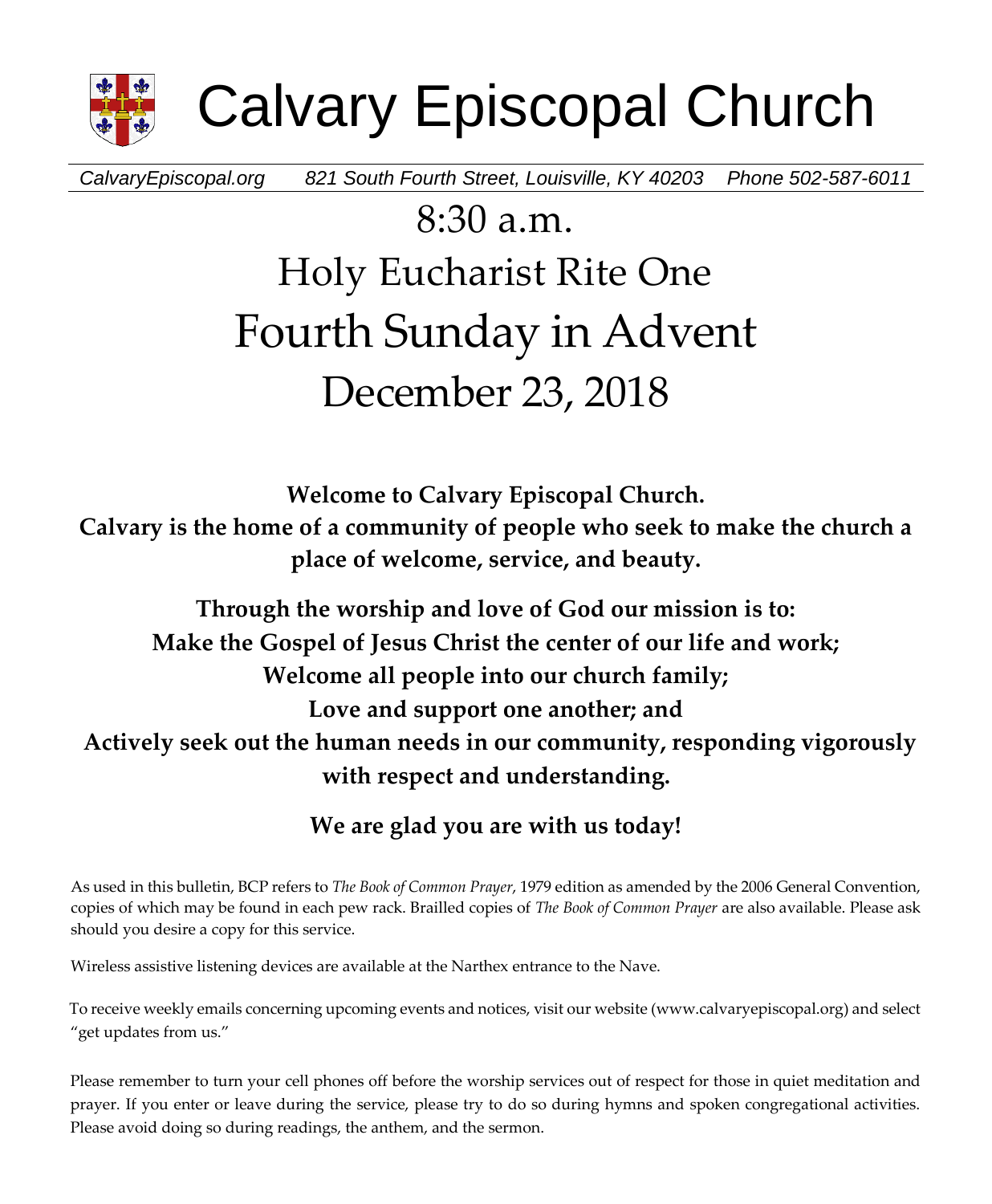

Calvary Episcopal Church

*CalvaryEpiscopal.org 821 South Fourth Street, Louisville, KY 40203 Phone 502-587-6011*

# 8:30 a.m. Holy Eucharist Rite One Fourth Sunday in Advent December 23, 2018

**Welcome to Calvary Episcopal Church. Calvary is the home of a community of people who seek to make the church a place of welcome, service, and beauty.**

# **Through the worship and love of God our mission is to: Make the Gospel of Jesus Christ the center of our life and work; Welcome all people into our church family; Love and support one another; and Actively seek out the human needs in our community, responding vigorously with respect and understanding.**

**We are glad you are with us today!**

As used in this bulletin, BCP refers to *The Book of Common Prayer*, 1979 edition as amended by the 2006 General Convention, copies of which may be found in each pew rack. Brailled copies of *The Book of Common Prayer* are also available. Please ask should you desire a copy for this service.

Wireless assistive listening devices are available at the Narthex entrance to the Nave.

To receive weekly emails concerning upcoming events and notices, visit our website (www.calvaryepiscopal.org) and select "get updates from us."

Please remember to turn your cell phones off before the worship services out of respect for those in quiet meditation and prayer. If you enter or leave during the service, please try to do so during hymns and spoken congregational activities. Please avoid doing so during readings, the anthem, and the sermon.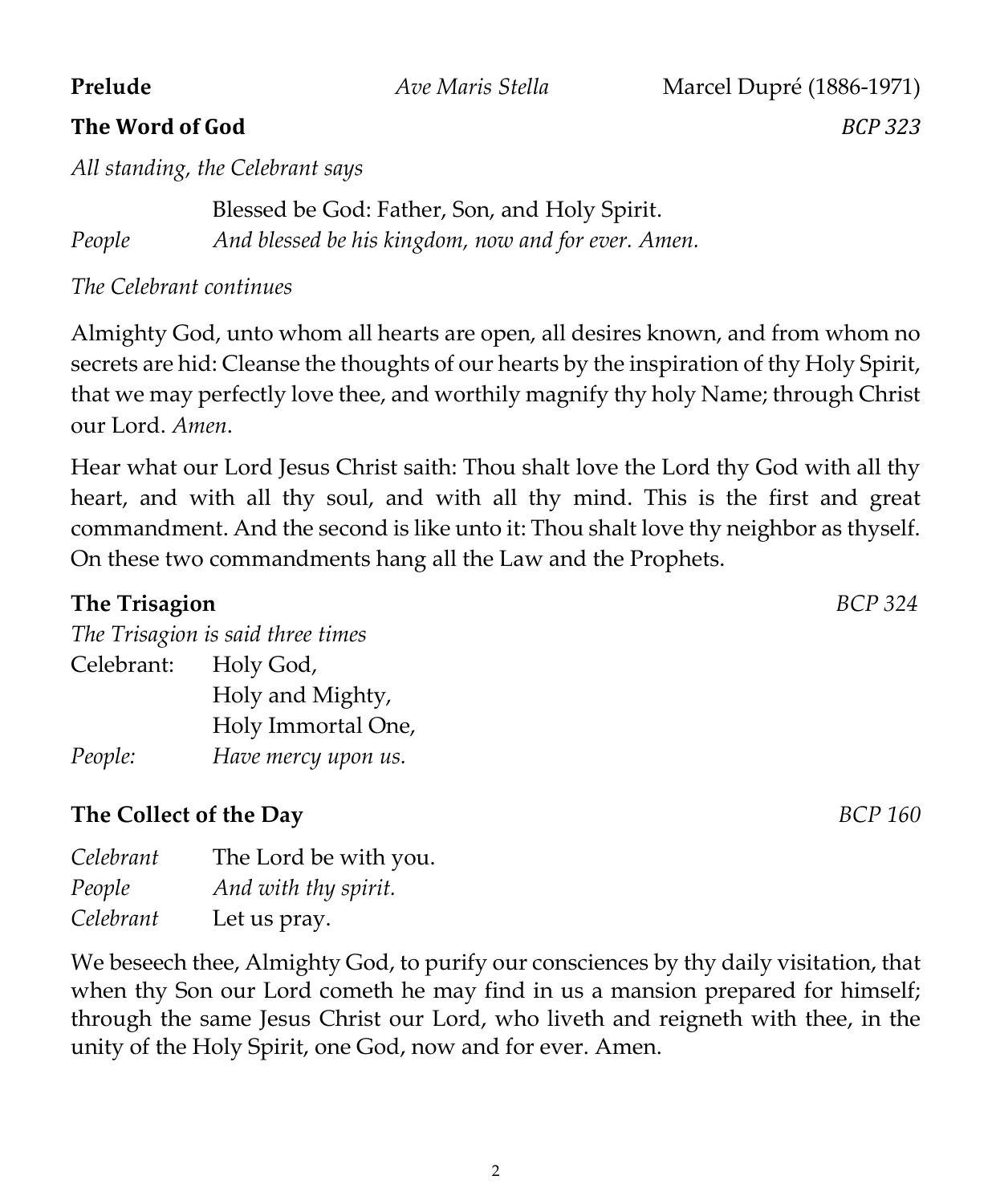**Prelude** *Ave Maris Stella* **Marcel Dupré (1886-1971) The Word of God** *BCP 323*

*All standing, the Celebrant says*

Blessed be God: Father, Son, and Holy Spirit. *People And blessed be his kingdom, now and for ever. Amen.*

*The Celebrant continues*

Almighty God, unto whom all hearts are open, all desires known, and from whom no secrets are hid: Cleanse the thoughts of our hearts by the inspiration of thy Holy Spirit, that we may perfectly love thee, and worthily magnify thy holy Name; through Christ our Lord. *Amen*.

Hear what our Lord Jesus Christ saith: Thou shalt love the Lord thy God with all thy heart, and with all thy soul, and with all thy mind. This is the first and great commandment. And the second is like unto it: Thou shalt love thy neighbor as thyself. On these two commandments hang all the Law and the Prophets.

#### **The Trisagion** *BCP 324*

| The Trisagion is said three times |                     |  |
|-----------------------------------|---------------------|--|
| Celebrant: Holy God,              |                     |  |
|                                   | Holy and Mighty,    |  |
|                                   | Holy Immortal One,  |  |
| People:                           | Have mercy upon us. |  |

#### **The Collect of the Day** *BCP 160*

| Celebrant | The Lord be with you. |
|-----------|-----------------------|
| People    | And with thy spirit.  |
| Celebrant | Let us pray.          |

We beseech thee, Almighty God, to purify our consciences by thy daily visitation, that when thy Son our Lord cometh he may find in us a mansion prepared for himself; through the same Jesus Christ our Lord, who liveth and reigneth with thee, in the unity of the Holy Spirit, one God, now and for ever. Amen.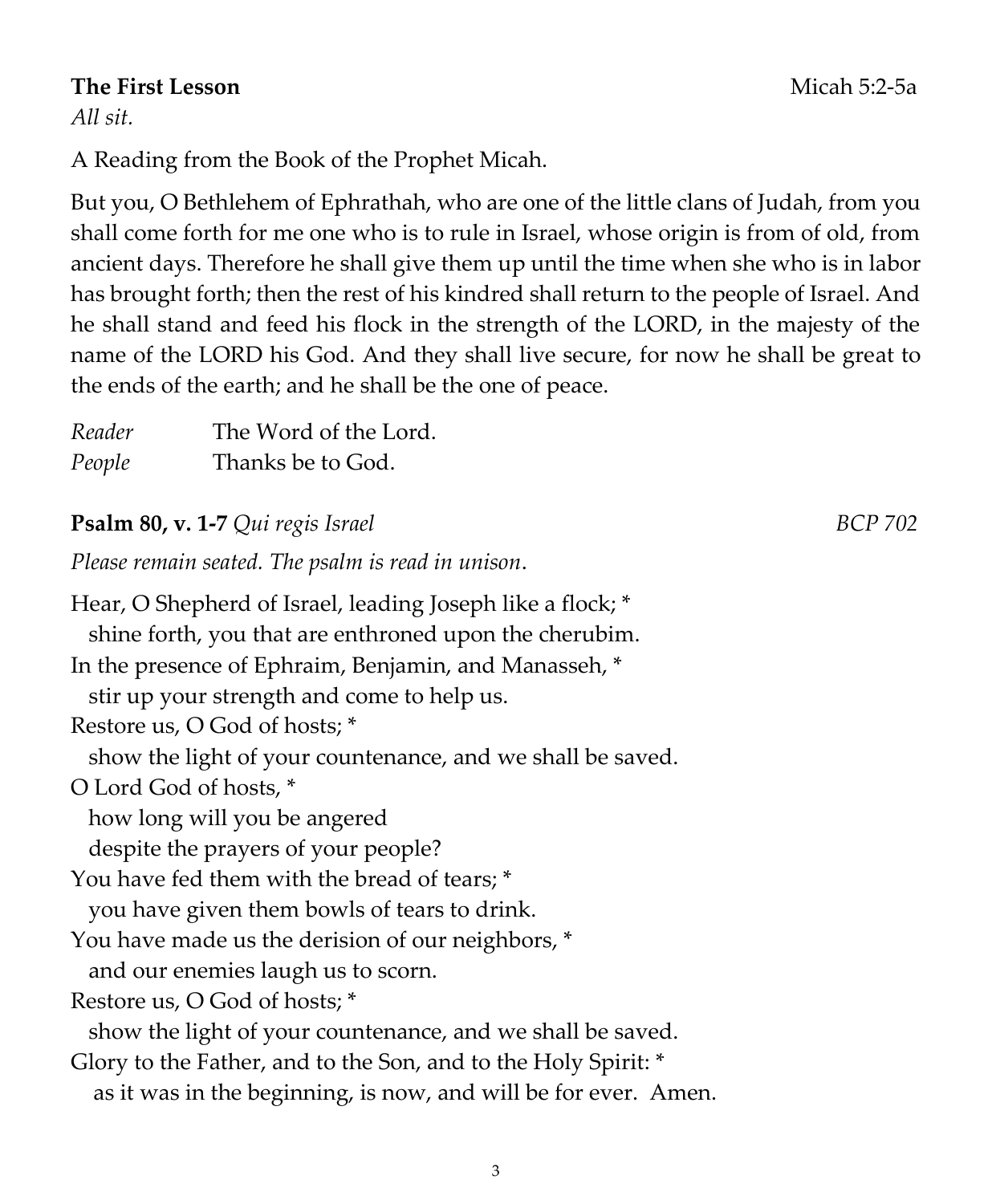#### **The First Lesson**Micah 5:2-5a

*All sit.*

A Reading from the Book of the Prophet Micah.

But you, O Bethlehem of Ephrathah, who are one of the little clans of Judah, from you shall come forth for me one who is to rule in Israel, whose origin is from of old, from ancient days. Therefore he shall give them up until the time when she who is in labor has brought forth; then the rest of his kindred shall return to the people of Israel. And he shall stand and feed his flock in the strength of the LORD, in the majesty of the name of the LORD his God. And they shall live secure, for now he shall be great to the ends of the earth; and he shall be the one of peace.

| Reader | The Word of the Lord. |
|--------|-----------------------|
| People | Thanks be to God.     |

# **Psalm 80, v. 1-7** *Qui regis Israel* BCP 702

*Please remain seated. The psalm is read in unison*.

Hear, O Shepherd of Israel, leading Joseph like a flock; \* shine forth, you that are enthroned upon the cherubim. In the presence of Ephraim, Benjamin, and Manasseh, \* stir up your strength and come to help us. Restore us, O God of hosts; \* show the light of your countenance, and we shall be saved. O Lord God of hosts, \* how long will you be angered despite the prayers of your people? You have fed them with the bread of tears; \* you have given them bowls of tears to drink. You have made us the derision of our neighbors, \* and our enemies laugh us to scorn. Restore us, O God of hosts; \* show the light of your countenance, and we shall be saved. Glory to the Father, and to the Son, and to the Holy Spirit: \* as it was in the beginning, is now, and will be for ever. Amen.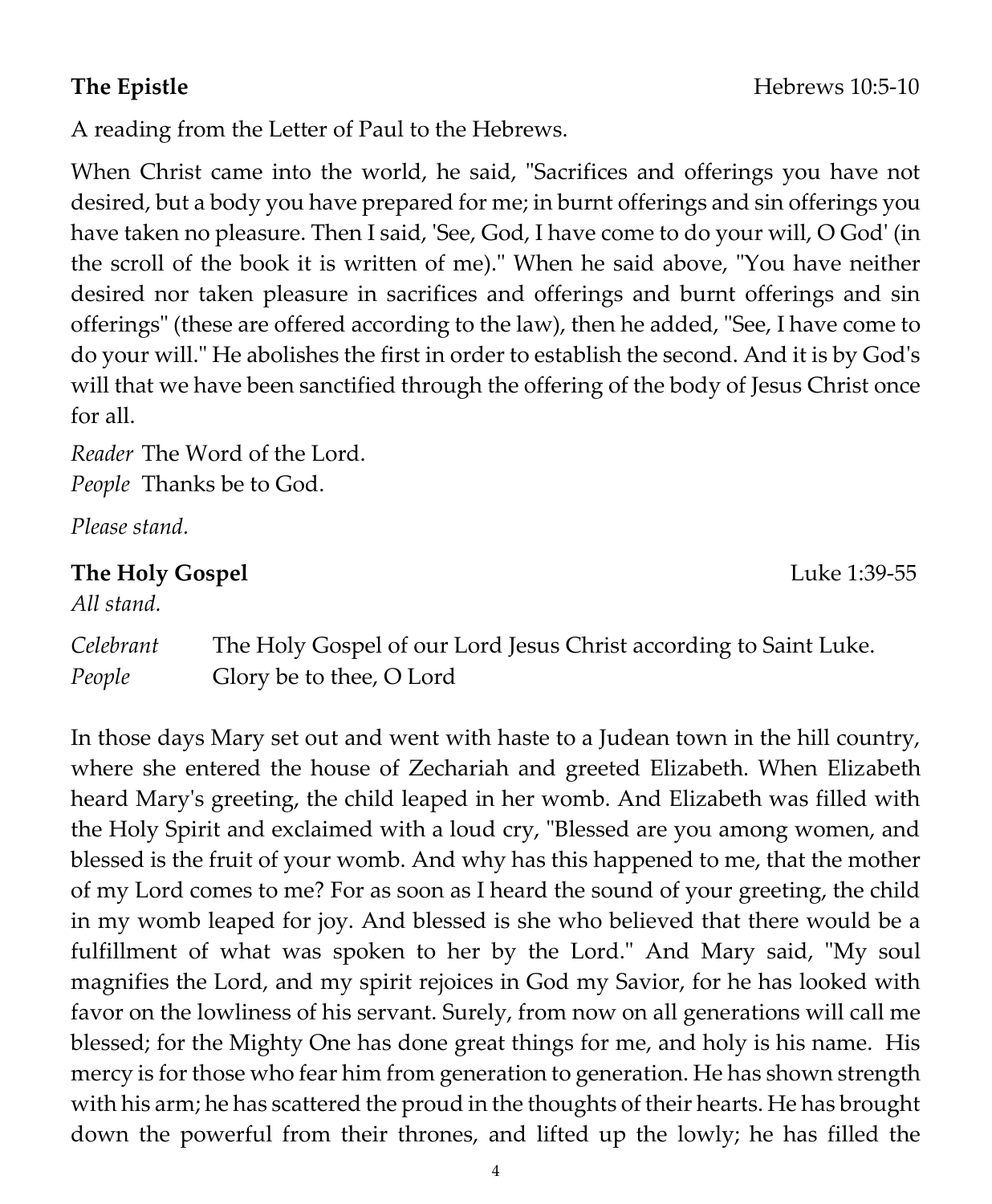A reading from the Letter of Paul to the Hebrews.

When Christ came into the world, he said, "Sacrifices and offerings you have not desired, but a body you have prepared for me; in burnt offerings and sin offerings you have taken no pleasure. Then I said, 'See, God, I have come to do your will, O God' (in the scroll of the book it is written of me)." When he said above, "You have neither desired nor taken pleasure in sacrifices and offerings and burnt offerings and sin offerings" (these are offered according to the law), then he added, "See, I have come to do your will." He abolishes the first in order to establish the second. And it is by God's will that we have been sanctified through the offering of the body of Jesus Christ once for all.

*Reader* The Word of the Lord. *People* Thanks be to God.

*Please stand.*

#### **The Holy Gospel** Luke 1:39-55

*All stand.*

*Celebrant* The Holy Gospel of our Lord Jesus Christ according to Saint Luke. *People* Glory be to thee, O Lord

In those days Mary set out and went with haste to a Judean town in the hill country, where she entered the house of Zechariah and greeted Elizabeth. When Elizabeth heard Mary's greeting, the child leaped in her womb. And Elizabeth was filled with the Holy Spirit and exclaimed with a loud cry, "Blessed are you among women, and blessed is the fruit of your womb. And why has this happened to me, that the mother of my Lord comes to me? For as soon as I heard the sound of your greeting, the child in my womb leaped for joy. And blessed is she who believed that there would be a fulfillment of what was spoken to her by the Lord." And Mary said, "My soul magnifies the Lord, and my spirit rejoices in God my Savior, for he has looked with favor on the lowliness of his servant. Surely, from now on all generations will call me blessed; for the Mighty One has done great things for me, and holy is his name. His mercy is for those who fear him from generation to generation. He has shown strength with his arm; he has scattered the proud in the thoughts of their hearts. He has brought down the powerful from their thrones, and lifted up the lowly; he has filled the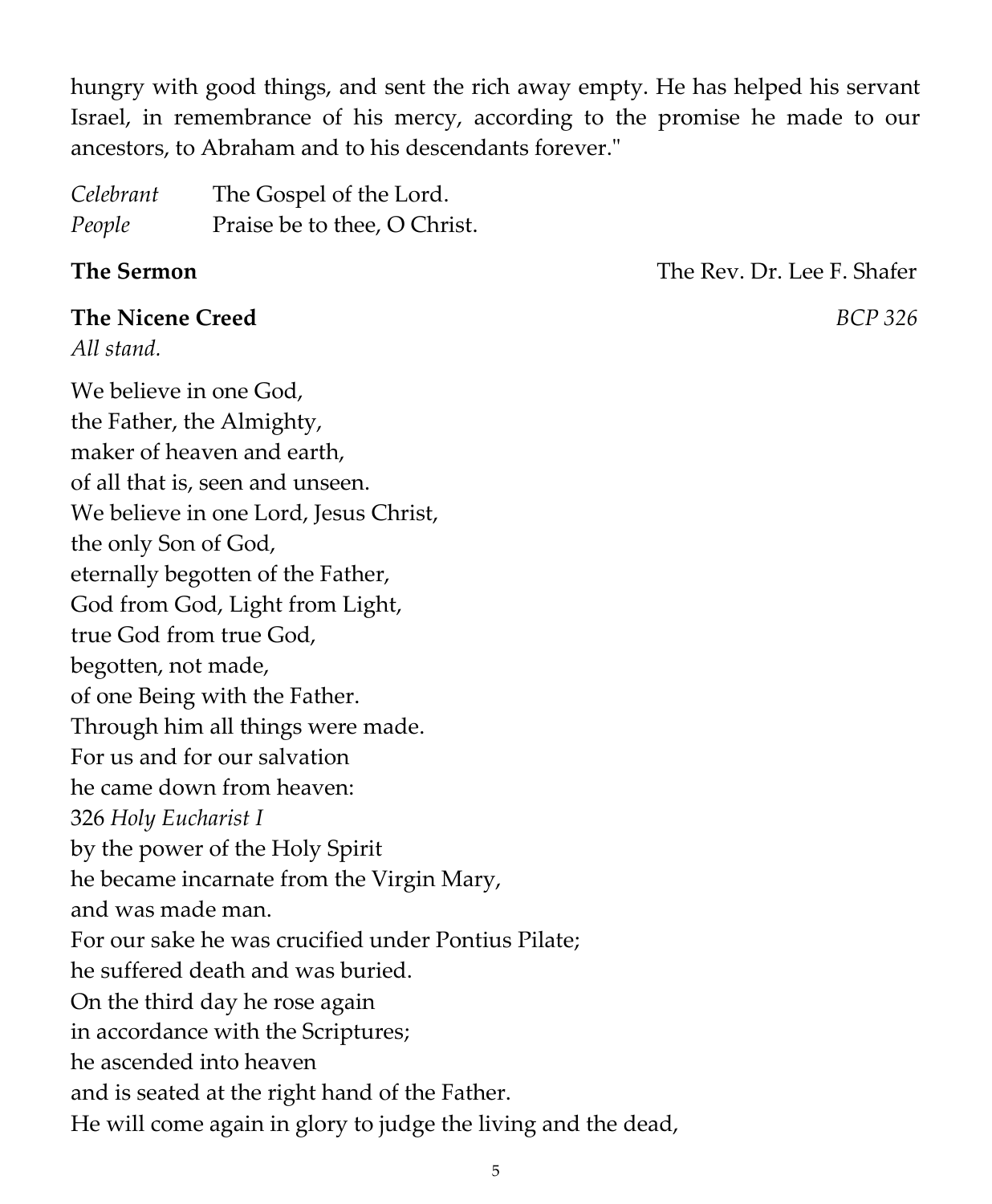hungry with good things, and sent the rich away empty. He has helped his servant Israel, in remembrance of his mercy, according to the promise he made to our ancestors, to Abraham and to his descendants forever."

*Celebrant* The Gospel of the Lord. *People* Praise be to thee, O Christ.

**The Sermon** The Rev. Dr. Lee F. Shafer

# **The Nicene Creed** *BCP 326 All stand.* We believe in one God, the Father, the Almighty, maker of heaven and earth, of all that is, seen and unseen. We believe in one Lord, Jesus Christ, the only Son of God, eternally begotten of the Father, God from God, Light from Light, true God from true God, begotten, not made, of one Being with the Father. Through him all things were made. For us and for our salvation he came down from heaven: 326 *Holy Eucharist I* by the power of the Holy Spirit he became incarnate from the Virgin Mary, and was made man. For our sake he was crucified under Pontius Pilate; he suffered death and was buried. On the third day he rose again in accordance with the Scriptures; he ascended into heaven and is seated at the right hand of the Father. He will come again in glory to judge the living and the dead,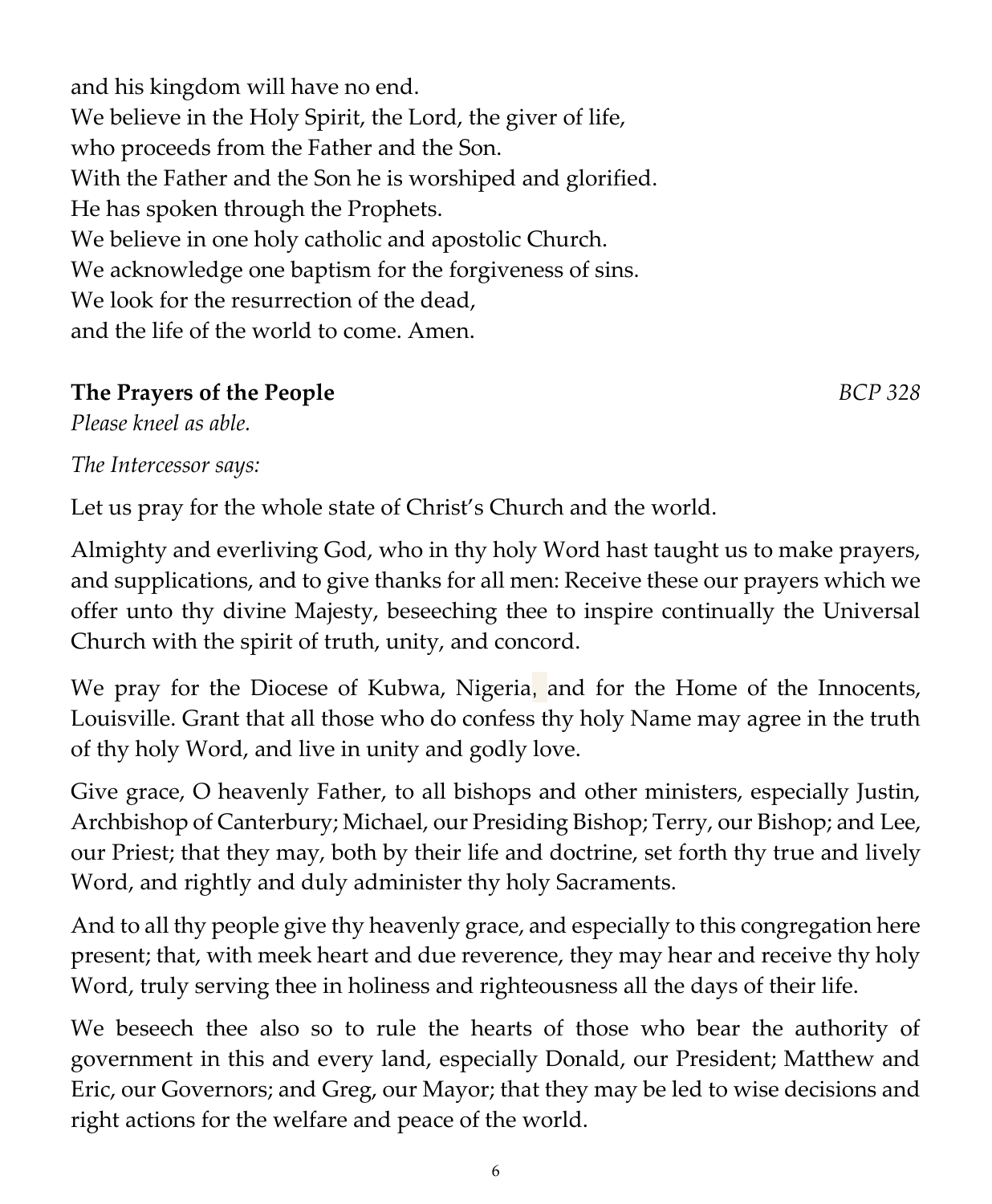and his kingdom will have no end. We believe in the Holy Spirit, the Lord, the giver of life, who proceeds from the Father and the Son. With the Father and the Son he is worshiped and glorified. He has spoken through the Prophets. We believe in one holy catholic and apostolic Church. We acknowledge one baptism for the forgiveness of sins. We look for the resurrection of the dead, and the life of the world to come. Amen.

### **The Prayers of the People** *BCP 328*

*Please kneel as able.*

*The Intercessor says:*

Let us pray for the whole state of Christ's Church and the world.

Almighty and everliving God, who in thy holy Word hast taught us to make prayers, and supplications, and to give thanks for all men: Receive these our prayers which we offer unto thy divine Majesty, beseeching thee to inspire continually the Universal Church with the spirit of truth, unity, and concord.

We pray for the Diocese of Kubwa, Nigeria, and for the Home of the Innocents, Louisville. Grant that all those who do confess thy holy Name may agree in the truth of thy holy Word, and live in unity and godly love.

Give grace, O heavenly Father, to all bishops and other ministers, especially Justin, Archbishop of Canterbury; Michael, our Presiding Bishop; Terry, our Bishop; and Lee, our Priest; that they may, both by their life and doctrine, set forth thy true and lively Word, and rightly and duly administer thy holy Sacraments.

And to all thy people give thy heavenly grace, and especially to this congregation here present; that, with meek heart and due reverence, they may hear and receive thy holy Word, truly serving thee in holiness and righteousness all the days of their life.

We beseech thee also so to rule the hearts of those who bear the authority of government in this and every land, especially Donald, our President; Matthew and Eric, our Governors; and Greg, our Mayor; that they may be led to wise decisions and right actions for the welfare and peace of the world.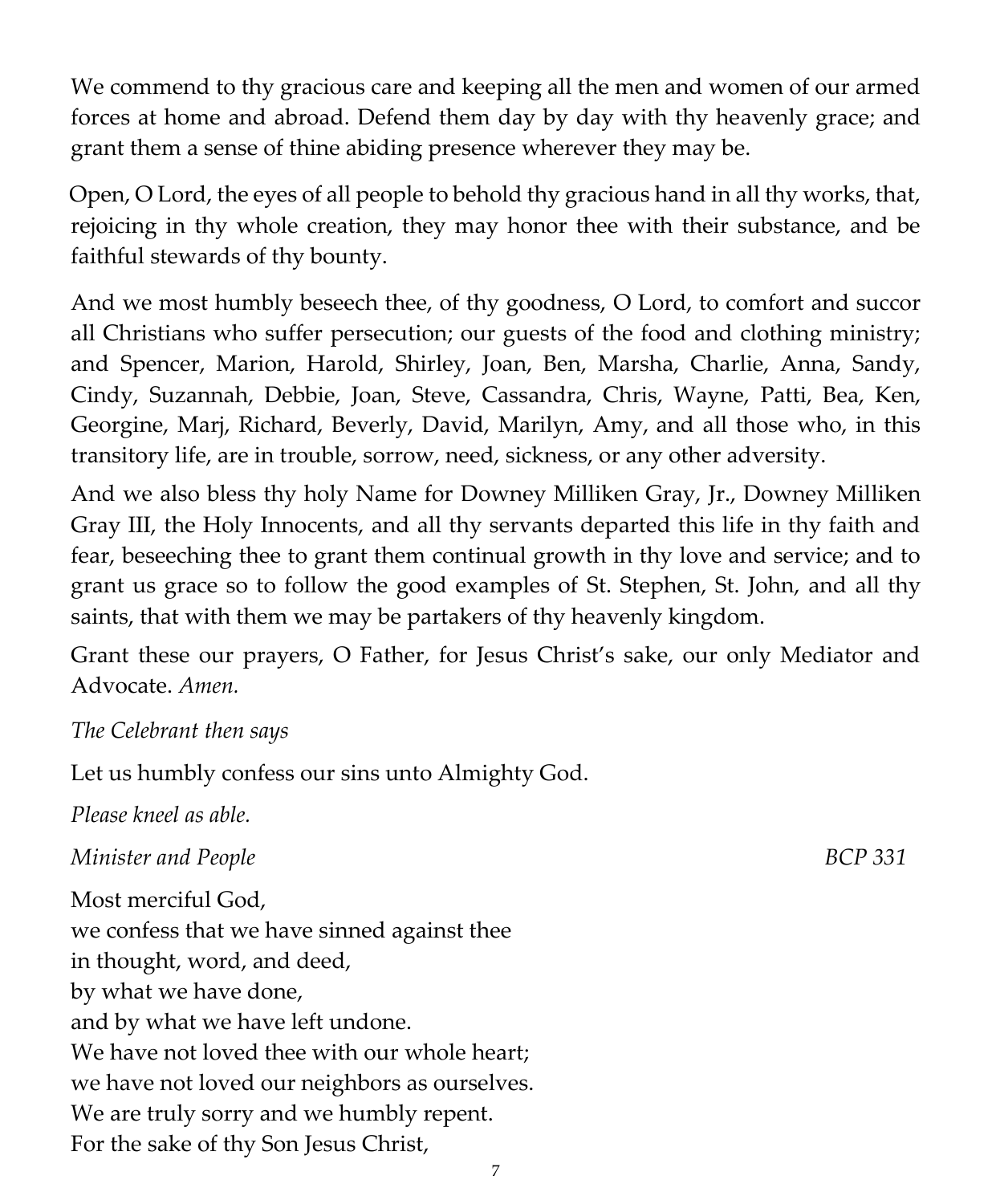We commend to thy gracious care and keeping all the men and women of our armed forces at home and abroad. Defend them day by day with thy heavenly grace; and grant them a sense of thine abiding presence wherever they may be.

Open, O Lord, the eyes of all people to behold thy gracious hand in all thy works, that, rejoicing in thy whole creation, they may honor thee with their substance, and be faithful stewards of thy bounty.

And we most humbly beseech thee, of thy goodness, O Lord, to comfort and succor all Christians who suffer persecution; our guests of the food and clothing ministry; and Spencer, Marion, Harold, Shirley, Joan, Ben, Marsha, Charlie, Anna, Sandy, Cindy, Suzannah, Debbie, Joan, Steve, Cassandra, Chris, Wayne, Patti, Bea, Ken, Georgine, Marj, Richard, Beverly, David, Marilyn, Amy, and all those who, in this transitory life, are in trouble, sorrow, need, sickness, or any other adversity.

And we also bless thy holy Name for Downey Milliken Gray, Jr., Downey Milliken Gray III, the Holy Innocents, and all thy servants departed this life in thy faith and fear, beseeching thee to grant them continual growth in thy love and service; and to grant us grace so to follow the good examples of St. Stephen, St. John, and all thy saints, that with them we may be partakers of thy heavenly kingdom.

Grant these our prayers, O Father, for Jesus Christ's sake, our only Mediator and Advocate. *Amen.*

#### *The Celebrant then says*

Let us humbly confess our sins unto Almighty God.

*Please kneel as able. Minister and People* BCP 331 Most merciful God, we confess that we have sinned against thee in thought, word, and deed, by what we have done, and by what we have left undone. We have not loved thee with our whole heart: we have not loved our neighbors as ourselves. We are truly sorry and we humbly repent. For the sake of thy Son Jesus Christ,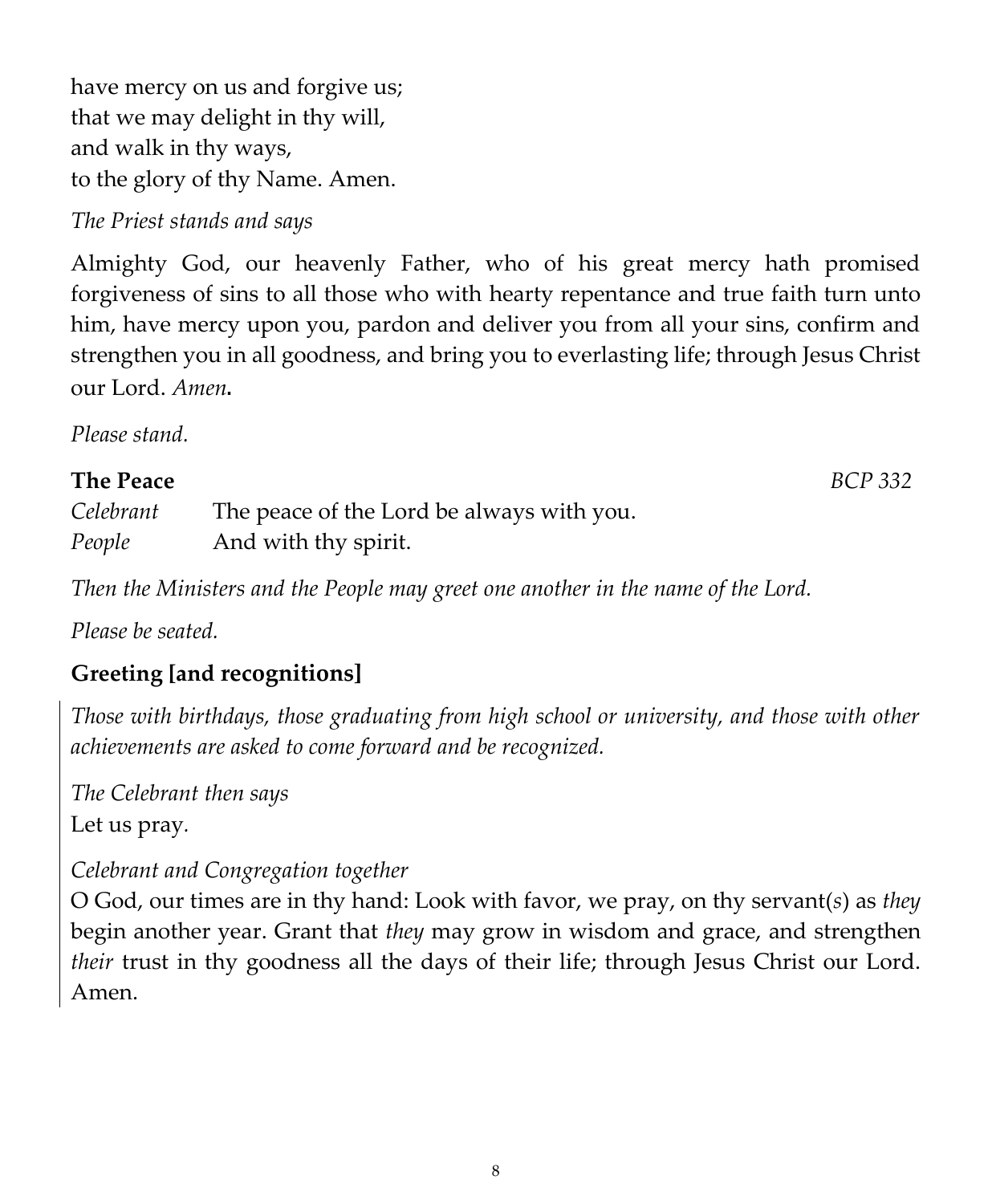have mercy on us and forgive us; that we may delight in thy will, and walk in thy ways, to the glory of thy Name. Amen.

### *The Priest stands and says*

Almighty God, our heavenly Father, who of his great mercy hath promised forgiveness of sins to all those who with hearty repentance and true faith turn unto him, have mercy upon you, pardon and deliver you from all your sins, confirm and strengthen you in all goodness, and bring you to everlasting life; through Jesus Christ our Lord. *Amen*.

*Please stand.*

#### **The Peace** *BCP 332*

| Celebrant | The peace of the Lord be always with you. |
|-----------|-------------------------------------------|
| People    | And with thy spirit.                      |

*Then the Ministers and the People may greet one another in the name of the Lord.*

*Please be seated.*

# **Greeting [and recognitions]**

*Those with birthdays, those graduating from high school or university, and those with other achievements are asked to come forward and be recognized.*

*The Celebrant then says* Let us pray*.*

### *Celebrant and Congregation together*

O God, our times are in thy hand: Look with favor, we pray, on thy servant(*s*) as *they* begin another year. Grant that *they* may grow in wisdom and grace, and strengthen *their* trust in thy goodness all the days of their life; through Jesus Christ our Lord. Amen.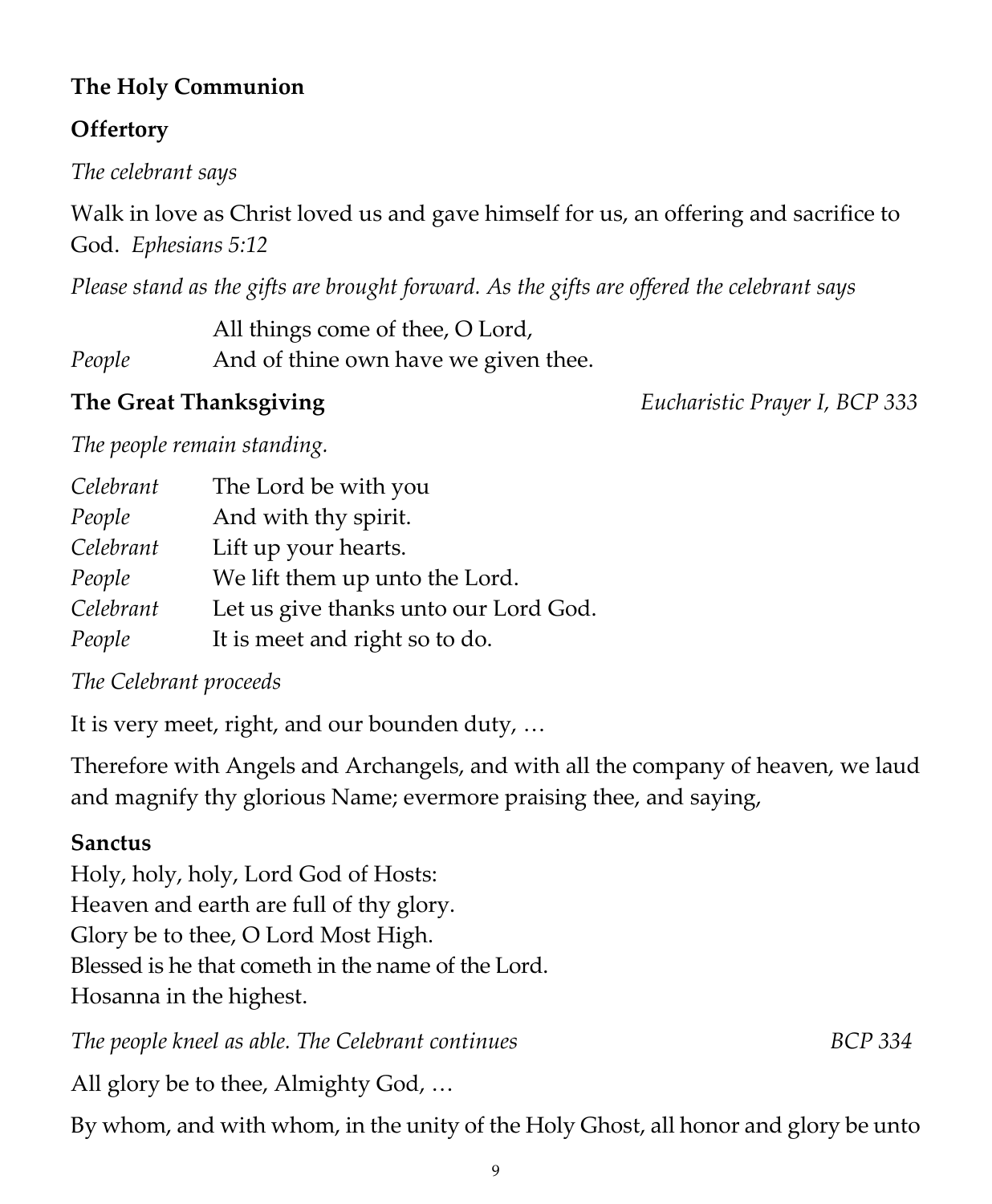## **The Holy Communion**

## **Offertory**

*The celebrant says*

Walk in love as Christ loved us and gave himself for us, an offering and sacrifice to God. *Ephesians 5:12*

*Please stand as the gifts are brought forward. As the gifts are offered the celebrant says*

All things come of thee, O Lord, *People* And of thine own have we given thee.

**The Great Thanksgiving** *Eucharistic Prayer I, BCP 333*

*The people remain standing.*

| Celebrant | The Lord be with you                  |
|-----------|---------------------------------------|
| People    | And with thy spirit.                  |
| Celebrant | Lift up your hearts.                  |
| People    | We lift them up unto the Lord.        |
| Celebrant | Let us give thanks unto our Lord God. |
| People    | It is meet and right so to do.        |

*The Celebrant proceeds*

It is very meet, right, and our bounden duty, …

Therefore with Angels and Archangels, and with all the company of heaven, we laud and magnify thy glorious Name; evermore praising thee, and saying,

# **Sanctus**

Holy, holy, holy, Lord God of Hosts: Heaven and earth are full of thy glory. Glory be to thee, O Lord Most High. Blessed is he that cometh in the name of the Lord. Hosanna in the highest.

*The people kneel as able. The Celebrant continues* **BCP** 334

All glory be to thee, Almighty God, …

By whom, and with whom, in the unity of the Holy Ghost, all honor and glory be unto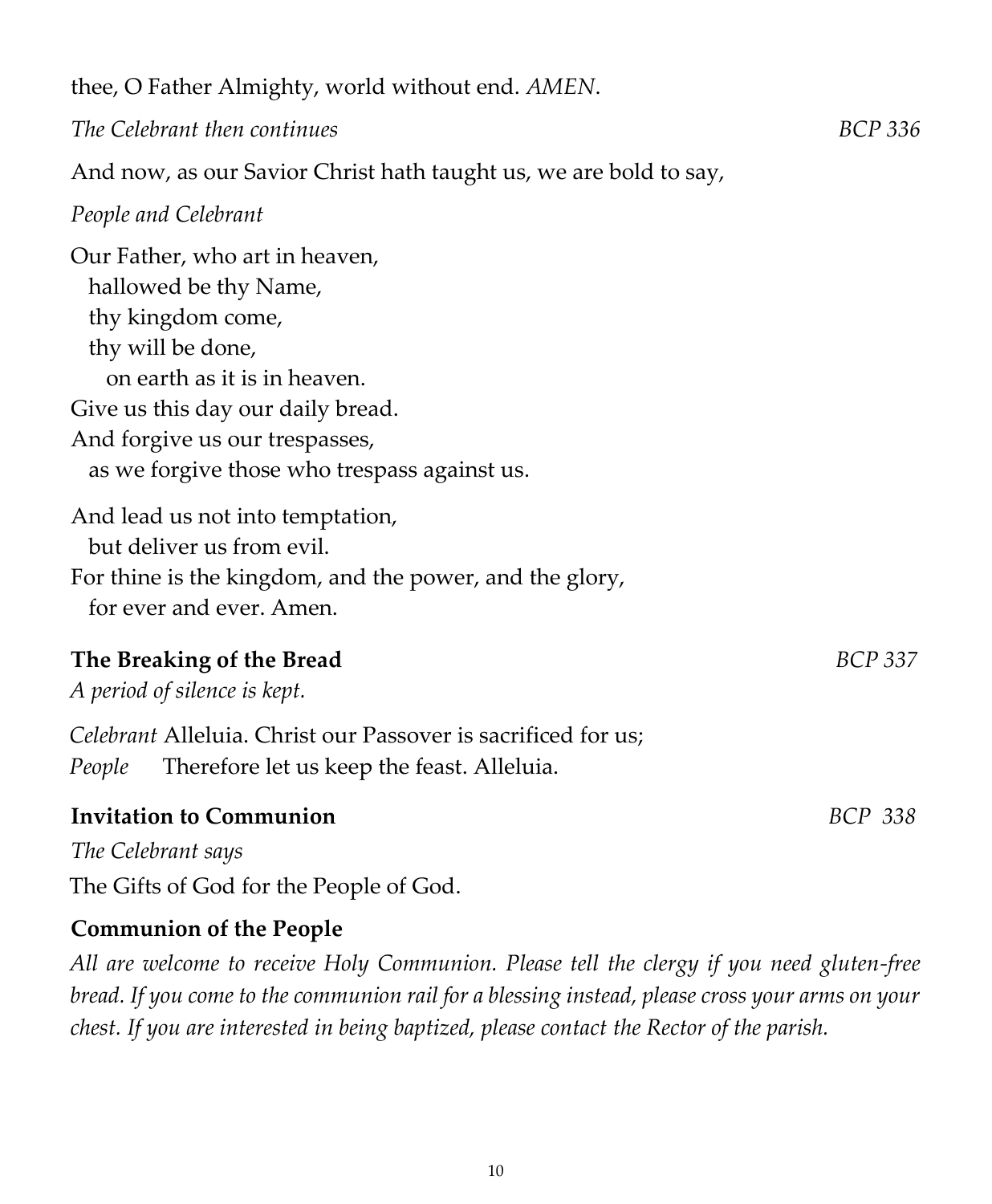thee, O Father Almighty, world without end. *AMEN*.

*The Celebrant then continues BCP 336*

And now, as our Savior Christ hath taught us, we are bold to say,

#### *People and Celebrant*

Our Father, who art in heaven, hallowed be thy Name, thy kingdom come, thy will be done, on earth as it is in heaven. Give us this day our daily bread. And forgive us our trespasses, as we forgive those who trespass against us. And lead us not into temptation, but deliver us from evil. For thine is the kingdom, and the power, and the glory, for ever and ever. Amen.

#### **The Breaking of the Bread** *BCP 337*

*A period of silence is kept.* 

*Celebrant* Alleluia. Christ our Passover is sacrificed for us; *People* Therefore let us keep the feast. Alleluia.

#### **Invitation to Communion** *BCP 338*

*The Celebrant says*

The Gifts of God for the People of God.

### **Communion of the People**

*All are welcome to receive Holy Communion. Please tell the clergy if you need gluten-free bread. If you come to the communion rail for a blessing instead, please cross your arms on your chest. If you are interested in being baptized, please contact the Rector of the parish.*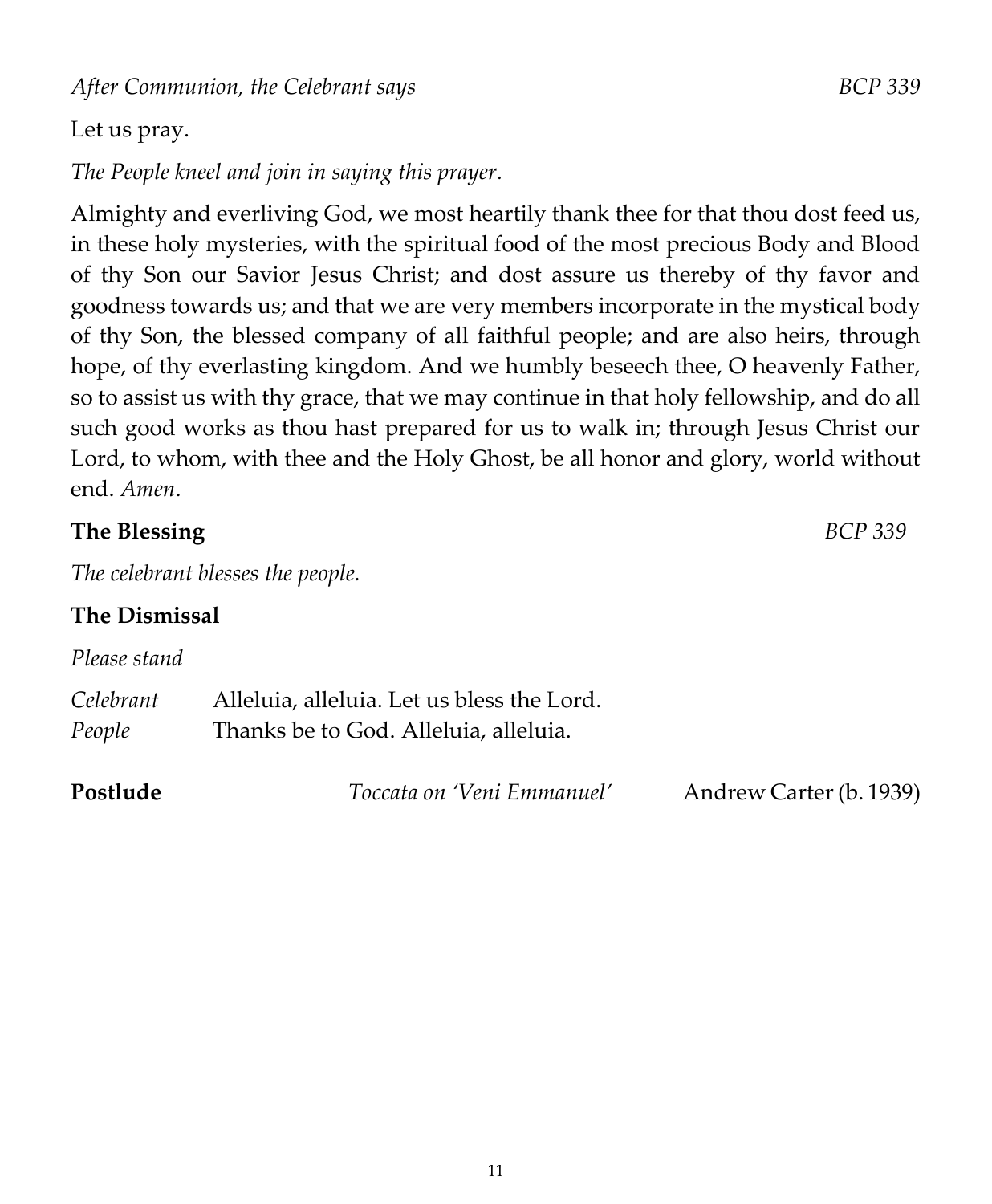*After Communion, the Celebrant says BCP 339*

#### Let us pray.

*The People kneel and join in saying this prayer.*

Almighty and everliving God, we most heartily thank thee for that thou dost feed us, in these holy mysteries, with the spiritual food of the most precious Body and Blood of thy Son our Savior Jesus Christ; and dost assure us thereby of thy favor and goodness towards us; and that we are very members incorporate in the mystical body of thy Son, the blessed company of all faithful people; and are also heirs, through hope, of thy everlasting kingdom. And we humbly beseech thee, O heavenly Father, so to assist us with thy grace, that we may continue in that holy fellowship, and do all such good works as thou hast prepared for us to walk in; through Jesus Christ our Lord, to whom, with thee and the Holy Ghost, be all honor and glory, world without end. *Amen*.

#### **The Blessing** *BCP 339*

*The celebrant blesses the people.*

#### **The Dismissal**

| Please stand        |                                                                                     |                         |
|---------------------|-------------------------------------------------------------------------------------|-------------------------|
| Celebrant<br>People | Alleluia, alleluia. Let us bless the Lord.<br>Thanks be to God. Alleluia, alleluia. |                         |
| Postlude            | Toccata on 'Veni Emmanuel'                                                          | Andrew Carter (b. 1939) |